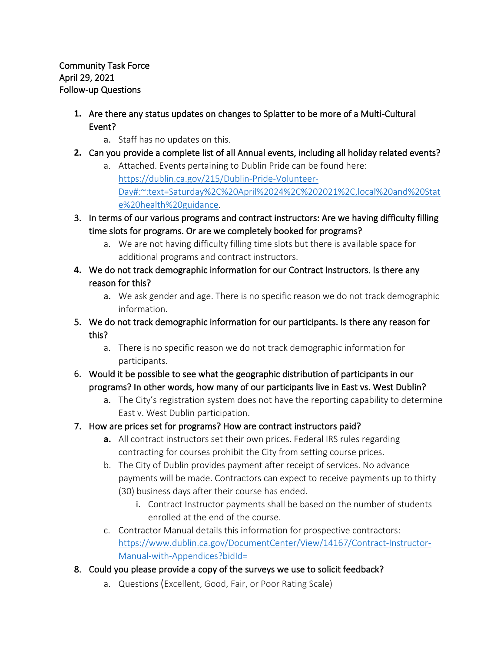- **1.** Are there any status updates on changes to Splatter to be more of a Multi-Cultural Event?
	- a. Staff has no updates on this.
- **2.** Can you provide a complete list of all Annual events, including all holiday related events?
	- a. Attached. Events pertaining to Dublin Pride can be found here: [https://dublin.ca.gov/215/Dublin-Pride-Volunteer-](https://dublin.ca.gov/215/Dublin-Pride-Volunteer-Day#:%7E:text=Saturday%2C%20April%2024%2C%202021%2C,local%20and%20State%20health%20guidance)[Day#:~:text=Saturday%2C%20April%2024%2C%202021%2C,local%20and%20Stat](https://dublin.ca.gov/215/Dublin-Pride-Volunteer-Day#:%7E:text=Saturday%2C%20April%2024%2C%202021%2C,local%20and%20State%20health%20guidance) [e%20health%20guidance.](https://dublin.ca.gov/215/Dublin-Pride-Volunteer-Day#:%7E:text=Saturday%2C%20April%2024%2C%202021%2C,local%20and%20State%20health%20guidance)
- 3. In terms of our various programs and contract instructors: Are we having difficulty filling time slots for programs. Or are we completely booked for programs?
	- a. We are not having difficulty filling time slots but there is available space for additional programs and contract instructors.
- **4.** We do not track demographic information for our Contract Instructors. Is there any reason for this?
	- a. We ask gender and age. There is no specific reason we do not track demographic information.
- 5. We do not track demographic information for our participants. Is there any reason for this?
	- a. There is no specific reason we do not track demographic information for participants.
- 6. Would it be possible to see what the geographic distribution of participants in our programs? In other words, how many of our participants live in East vs. West Dublin?
	- a. The City's registration system does not have the reporting capability to determine East v. West Dublin participation.
- 7. How are prices set for programs? How are contract instructors paid?
	- **a.** All contract instructors set their own prices. Federal IRS rules regarding contracting for courses prohibit the City from setting course prices.
	- b. The City of Dublin provides payment after receipt of services. No advance payments will be made. Contractors can expect to receive payments up to thirty (30) business days after their course has ended.
		- i. Contract Instructor payments shall be based on the number of students enrolled at the end of the course.
	- c. Contractor Manual details this information for prospective contractors: [https://www.dublin.ca.gov/DocumentCenter/View/14167/Contract-Instructor-](https://www.dublin.ca.gov/DocumentCenter/View/14167/Contract-Instructor-Manual-with-Appendices?bidId=)[Manual-with-Appendices?bidId=](https://www.dublin.ca.gov/DocumentCenter/View/14167/Contract-Instructor-Manual-with-Appendices?bidId=)
- 8. Could you please provide a copy of the surveys we use to solicit feedback?
	- a. Questions (Excellent, Good, Fair, or Poor Rating Scale)